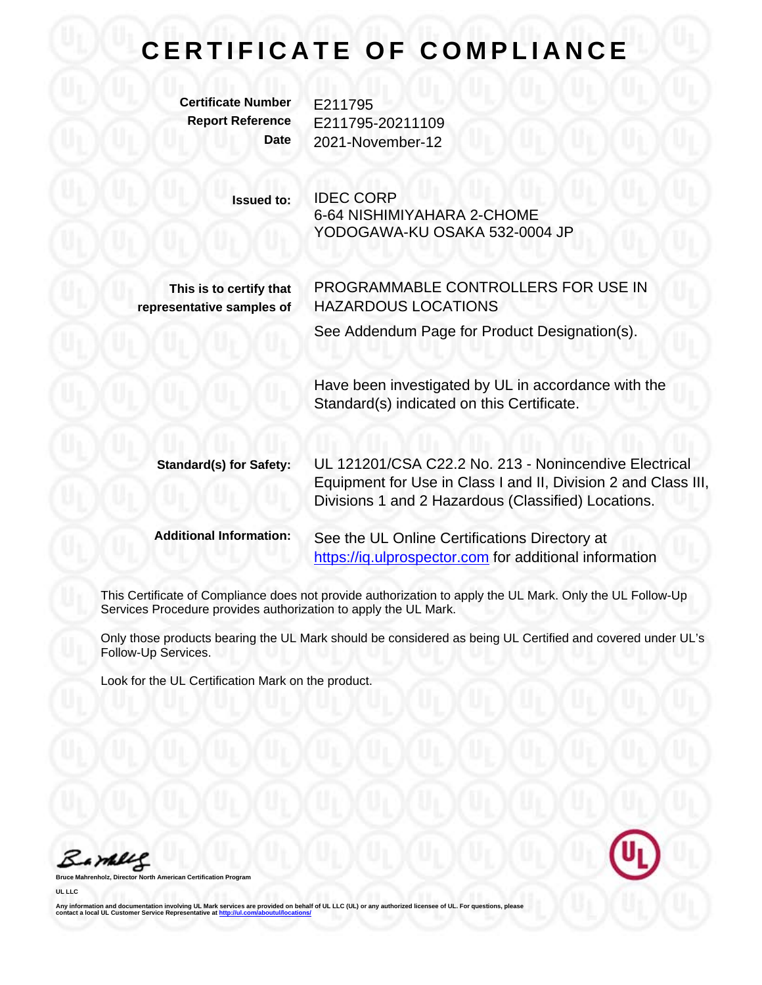## **C E R T I F I C A T E O F C O M P L I A N C E**

**Certificate Number** E211795

**Report Reference** E211795-20211109 **Date** 2021-November-12

> **Issued to:** IDEC CORP 6-64 NISHIMIYAHARA 2-CHOME YODOGAWA-KU OSAKA 532-0004 JP

**This is to certify that representative samples of**

PROGRAMMABLE CONTROLLERS FOR USE IN HAZARDOUS LOCATIONS

See Addendum Page for Product Designation(s).

Have been investigated by UL in accordance with the Standard(s) indicated on this Certificate.

**Standard(s) for Safety:** UL 121201/CSA C22.2 No. 213 - Nonincendive Electrical Equipment for Use in Class I and II, Division 2 and Class III, Divisions 1 and 2 Hazardous (Classified) Locations.

**Additional Information:** See the UL Online Certifications Directory at https://ig.ulprospector.com for additional information

This Certificate of Compliance does not provide authorization to apply the UL Mark. Only the UL Follow-Up Services Procedure provides authorization to apply the UL Mark.

Only those products bearing the UL Mark should be considered as being UL Certified and covered under UL's Follow-Up Services.

Look for the UL Certification Mark on the product.

Barney



**Bruce Mahrenholz, Director North American Certification Program**

**UL LLC**

Any information and documentation involving UL Mark services are provided on behalf of UL LLC (UL) or any authorized licensee of UL. For questions, please<br>contact a local UL Customer Service Representative at <u>http://ul.co</u>